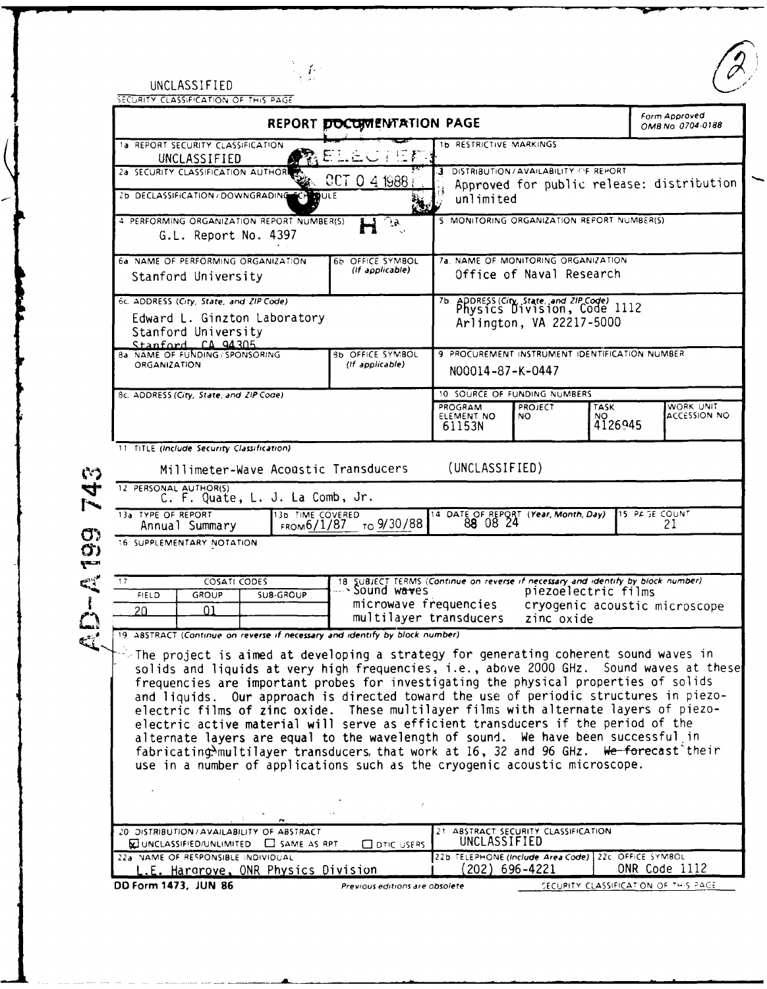| UNCLASSIFIED                          |  |
|---------------------------------------|--|
| SECURITY CLASSIFICATION OF THIS PAGE. |  |

╭

 $U\left(\frac{1}{2}\right)$ 

|                                                                                                                                                                                                                                                                                                                                                                                                                                                                                                                                                                                                                                                                                                                                                                                                                            | REPORT DOCUMENTATION PAGE                                                                                                                                                  |                                                                                                            |                                            |                               | Form Approved<br>OMB No. 0704-0188        |
|----------------------------------------------------------------------------------------------------------------------------------------------------------------------------------------------------------------------------------------------------------------------------------------------------------------------------------------------------------------------------------------------------------------------------------------------------------------------------------------------------------------------------------------------------------------------------------------------------------------------------------------------------------------------------------------------------------------------------------------------------------------------------------------------------------------------------|----------------------------------------------------------------------------------------------------------------------------------------------------------------------------|------------------------------------------------------------------------------------------------------------|--------------------------------------------|-------------------------------|-------------------------------------------|
| 1a REPORT SECURITY CLASSIFICATION<br>UNCLASSIFIED                                                                                                                                                                                                                                                                                                                                                                                                                                                                                                                                                                                                                                                                                                                                                                          | ヒニヒじょ                                                                                                                                                                      | <b>1b RESTRICTIVE MARKINGS</b>                                                                             |                                            |                               |                                           |
| 2a SECURITY CLASSIFICATION AUTHORE<br>2b DECLASSIFICATION / DOWNGRADING<br><b>B</b> ULE                                                                                                                                                                                                                                                                                                                                                                                                                                                                                                                                                                                                                                                                                                                                    | CCT 0 4 1988<br>Ä.                                                                                                                                                         | 3.<br>unlimited                                                                                            | DISTRIBUTION / AVAILABILITY OF REPORT      |                               | Approved for public release: distribution |
| 4 PERFORMING ORGANIZATION REPORT NUMBER(S)<br>G.L. Report No. 4397                                                                                                                                                                                                                                                                                                                                                                                                                                                                                                                                                                                                                                                                                                                                                         | े हैं.                                                                                                                                                                     |                                                                                                            | 5 MONITORING ORGANIZATION REFORT NUMBER(S) |                               |                                           |
| 6a. NAME OF PERFORMING ORGANIZATION<br>Stanford University                                                                                                                                                                                                                                                                                                                                                                                                                                                                                                                                                                                                                                                                                                                                                                 | 6b OFFICE SYMBOL<br>(If applicable)                                                                                                                                        | 7a. NAME OF MONITORING ORGANIZATION<br>Office of Naval Research                                            |                                            |                               |                                           |
| 6c. ADDRESS (City, State, and ZIP Code)<br>Edward L. Ginzton Laboratory<br>Stanford University<br>Stanford CA 94305                                                                                                                                                                                                                                                                                                                                                                                                                                                                                                                                                                                                                                                                                                        |                                                                                                                                                                            | 7b. ADDRESS (City, State, and ZIP Code) 1112<br>Arlington, VA 22217-5000                                   |                                            |                               |                                           |
| 8a. NAME OF FUNDING / SPONSORING<br>ORGANIZATION                                                                                                                                                                                                                                                                                                                                                                                                                                                                                                                                                                                                                                                                                                                                                                           | <b>8b OFFICE SYMBOL</b><br>(If applicable)                                                                                                                                 | 9 PROCUREMENT INSTRUMENT IDENTIFICATION NUMBER<br>N00014-87-K-0447                                         |                                            |                               |                                           |
| 8c. ADDRESS (City, State, and ZIP Code)                                                                                                                                                                                                                                                                                                                                                                                                                                                                                                                                                                                                                                                                                                                                                                                    |                                                                                                                                                                            | 10 SOURCE OF FUNDING NUMBERS                                                                               |                                            |                               |                                           |
|                                                                                                                                                                                                                                                                                                                                                                                                                                                                                                                                                                                                                                                                                                                                                                                                                            |                                                                                                                                                                            | PROGRAM<br>ELEMENT NO<br>61153N                                                                            | <b>PROJECT</b><br>NO.                      | <b>TASK</b><br>NO.<br>4126945 | WORK UNIT<br><b>ACCESSION NO</b>          |
| C. F. Quate, L. J. La Comb, Jr.<br>13b TIME COVERED<br>FROM6/1/87<br>Annual Summary                                                                                                                                                                                                                                                                                                                                                                                                                                                                                                                                                                                                                                                                                                                                        | то 9/30/88                                                                                                                                                                 | 14 DATE OF REPORT (Year, Month, Day)<br>88 08 24                                                           |                                            |                               | 15 PAGE COUNT<br>21                       |
|                                                                                                                                                                                                                                                                                                                                                                                                                                                                                                                                                                                                                                                                                                                                                                                                                            |                                                                                                                                                                            |                                                                                                            |                                            |                               |                                           |
| 13a TYPE OF REPORT<br>16 SUPPLEMENTARY NOTATION<br>COSATI CODES<br>17<br>FIELD<br>GROUP<br><b>SUB-GROUP</b><br>01<br>20                                                                                                                                                                                                                                                                                                                                                                                                                                                                                                                                                                                                                                                                                                    | 18 SUBJECT TERMS (Continue on reverse if necessary and identify by block number)<br>--- SOUND Waves piezoelectric films<br>microwave frequencies<br>multilayer transducers |                                                                                                            | zinc oxide                                 | piezoelectric films           | cryogenic acoustic microscope             |
| $\triangleright$ The project is aimed at developing a strategy for generating coherent sound waves in<br>solids and liquids at very high frequencies, i.e., above 2000 GHz. Sound waves at these<br>frequencies are important probes for investigating the physical properties of solids<br>and liquids. Our approach is directed toward the use of periodic structures in piezo-<br>electric films of zinc oxide. These multilayer films with alternate layers of piezo-<br>electric active material will serve as efficient transducers if the period of the<br>alternate layers are equal to the wavelength of sound. We have been successful in<br>fabricating multilayer transducers, that work at 16, 32 and 96 GHz. We forecast their<br>use in a number of applications such as the cryogenic acoustic microscope. |                                                                                                                                                                            |                                                                                                            |                                            |                               |                                           |
|                                                                                                                                                                                                                                                                                                                                                                                                                                                                                                                                                                                                                                                                                                                                                                                                                            |                                                                                                                                                                            |                                                                                                            |                                            |                               |                                           |
| 19 ABSTRACT (Continue on reverse if necessary and identify by block number)<br>20 DISTRIBUTION/AVAILABILITY OF ABSTRACT<br>WUNCLASSIFIED/UNLIMITED SAME AS RPT<br>22a NAME OF RESPONSIBLE INDIVIDUAL                                                                                                                                                                                                                                                                                                                                                                                                                                                                                                                                                                                                                       | <b>ODTIC USERS</b>                                                                                                                                                         | 21 ABSTRACT SECURITY CLASSIFICATION<br>UNCLASSIFIED<br>22b TELEPHONE (Include Area Code) 22c OFFICE SYMBOL |                                            |                               |                                           |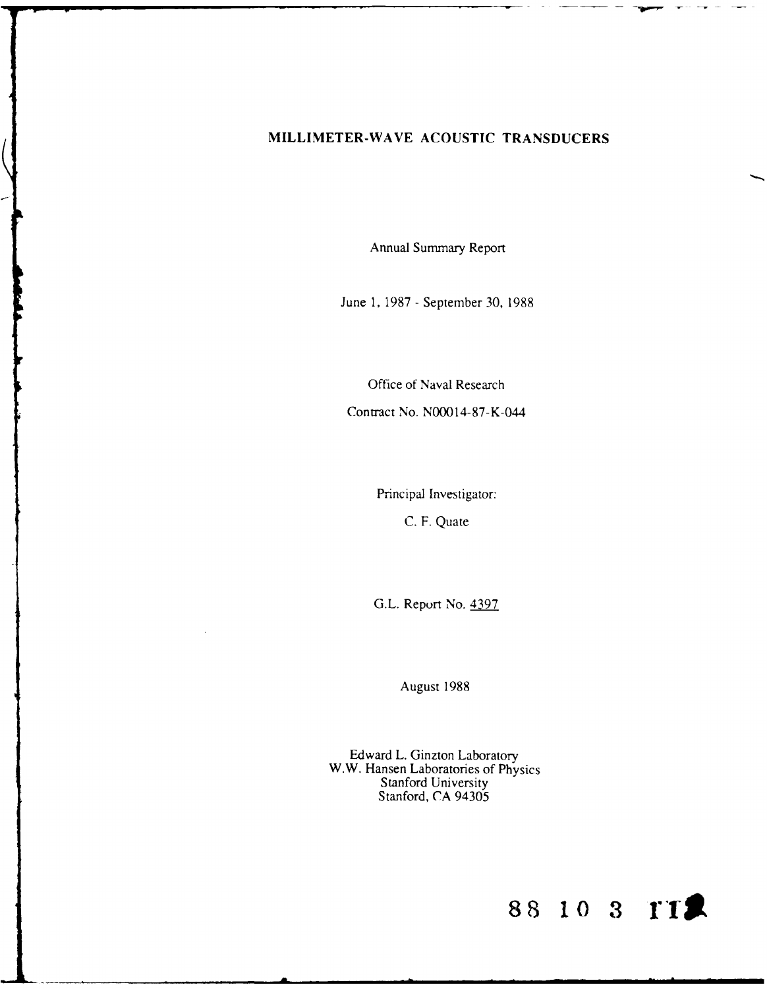# **MILLIMETER-WAVE ACOUSTIC TRANSDUCERS**

Annual Summary Report

June 1, 1987 - September 30, 1988

Office of Naval Research Contract No. N00014-87-K-044

Principal Investigator:

C. F. Quate

G.L. Report No. 4397

August 1988

Edward L. Ginzton Laboratory W.W. Hansen Laboratories of Physics Stanford University Stanford, CA 94305

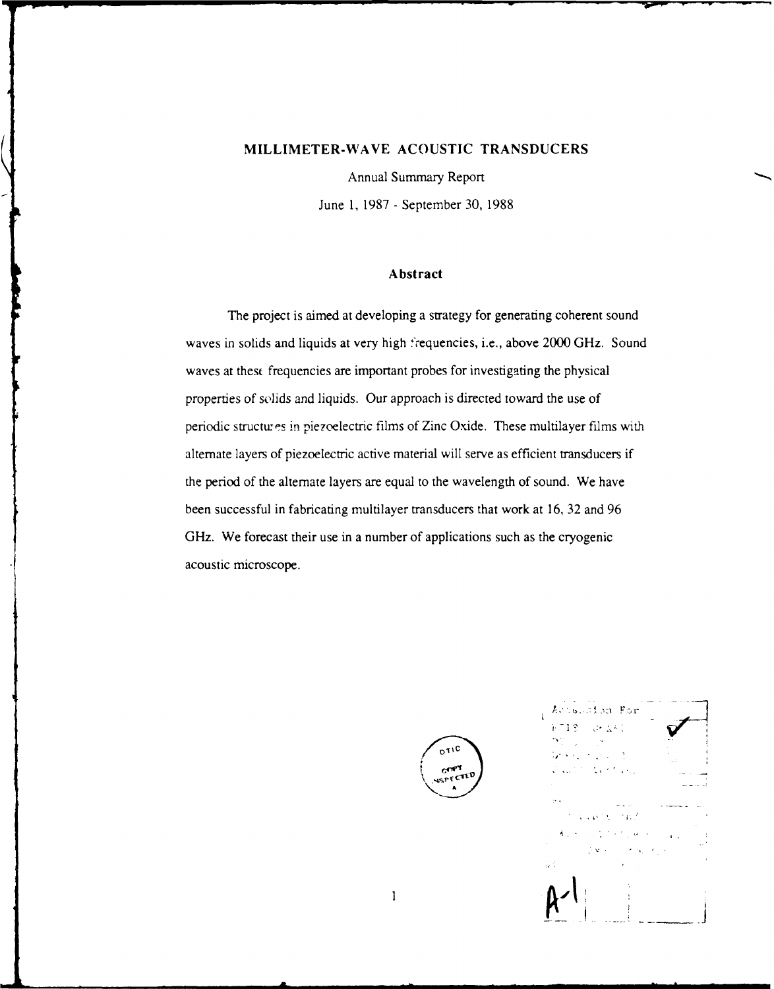# **MILLIMETER-WAVE ACOUSTIC TRANSDUCERS**

Annual Summary Report

June 1, 1987 - September 30, 1988

#### Abstract

The project is aimed at developing a strategy for generating coherent sound waves in solids and liquids at very high 'requencies, i.e., above 2000 GHz. Sound waves at thest frequencies are important probes for investigating the physical properties of solids and liquids. Our approach is directed toward the use of periodic structures in piezoelectric films of Zinc Oxide. These multilayer films with alternate layers of piezoelectric active material will serve as efficient transducers if the period of the alternate layers are equal to the wavelength of sound. We have been successful in fabricating multilayer transducers that work at 16, 32 and 96 GHz. We forecast their use in a number of applications such as the cryogenic acoustic microscope.



ion For **'** *},-~fr 1* **,":-**

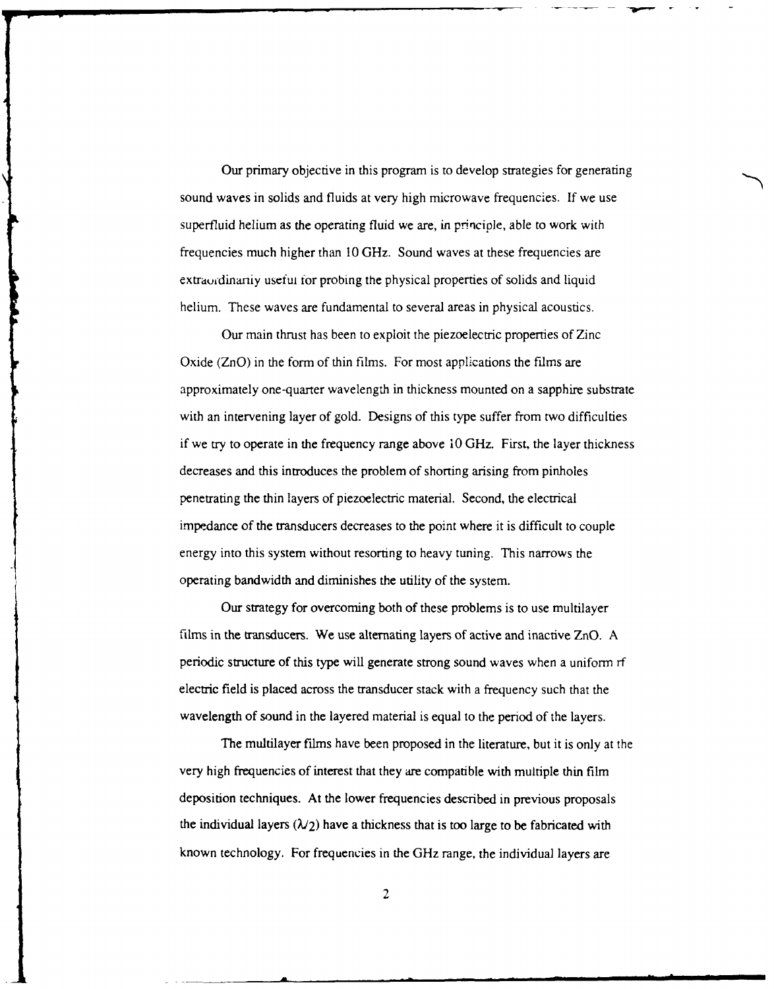Our primary objective in this program is to develop strategies for generating sound waves in solids and fluids at very high microwave frequencies. If we use superfluid helium as the operating fluid we are, in principle, able to work with frequencies much higher than 10 GHz. Sound waves at these frequencies are extraordinarity useful for probing the physical properties of solids and liquid helium. These waves are fundamental to several areas in physical acoustics.

Our main thrust has been to exploit the piezoelectric properties of Zinc Oxide (ZnO) in the form of thin films. For most applications the films are approximately one-quarter wavelength in thickness mounted on a sapphire substrate with an intervening layer of gold. Designs of this type suffer from two difficulties if we try to operate in the frequency range above **10** GHz. First, the layer thickness decreases and this introduces the problem of shorting arising from pinholes penetrating the thin layers of piezoelectric material. Second, the electrical impedance of the transducers decreases to the point where it is difficult to couple energy into this system without resorting to heavy tuning. This narrows the operating bandwidth and diminishes the utility of the system.

Our strategy for overcoming both of these problems is to use multilayer films in the transducers. We use alternating layers of active and inactive ZnO. A periodic structure of this type will generate strong sound waves when a uniform rf electric field is placed across the transducer stack with a frequency such that the wavelength of sound in the layered material is equal to the period of the layers.

The multilayer films have been proposed in the literature, but it is only at the very high frequencies of interest that they **are** compatible with multiple thin film deposition techniques. At the lower frequencies described in previous proposals the individual layers  $(\lambda/2)$  have a thickness that is too large to be fabricated with known technology. For frequencies in the GHz range, the individual layers are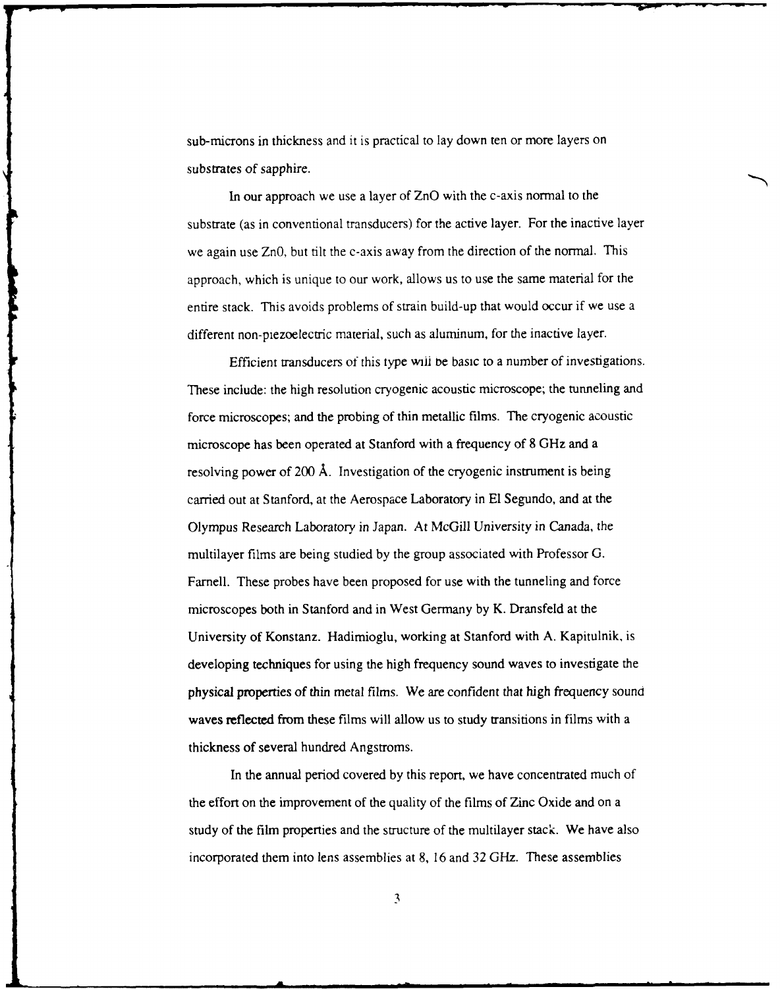sub-microns in thickness and it is practical to lay down ten or more layers on substrates of sapphire.

In our approach we use a layer of ZnO with the c-axis normal to the substrate (as in conventional transducers) for the active layer. For the inactive layer we again use ZnO, but tilt the c-axis away from the direction of the normal. This approach, which is unique to our work, allows us to use the same material for the entire stack. This avoids problems of strain build-up that would occur if we use a different non-piezoelectric material, such as aluminum, for the inactive layer.

Efficient transducers of this type wiii te basic to a number of investigations. These include: the high resolution cryogenic acoustic microscope; the tunneling and force microscopes; and the probing of thin metallic films. The cryogenic acoustic microscope has been operated at Stanford with a frequency of 8 GHz and a resolving power of 200 A. Investigation of the cryogenic instrument is being carried out at Stanford, at the Aerospace Laboratory in **El** Segundo, and at the Olympus Research Laboratory in Japan. At McGill University in Canada, the multilayer films are being studied by the group associated with Professor G. Farnell. These probes have been proposed for use with the tunneling and force microscopes both in Stanford and in West Germany by K. Dransfeld at the University of Konstanz. Hadimioglu, working at Stanford with A. Kapitulnik, is developing techniques for using the high frequency sound waves to investigate the physical properties of thin metal films. We are confident that high frequency sound waves reflected from these films will allow us to study transitions in films with a thickness of several hundred Angstroms.

In the annual period covered by this report, we have concentrated much of the effort on the improvement of the quality of the films of Zinc Oxide and on a study of the film properties and the structure of the multilayer stack. We have also incorporated them into lens assemblies at 8, 16 and 32 GHz. These assemblies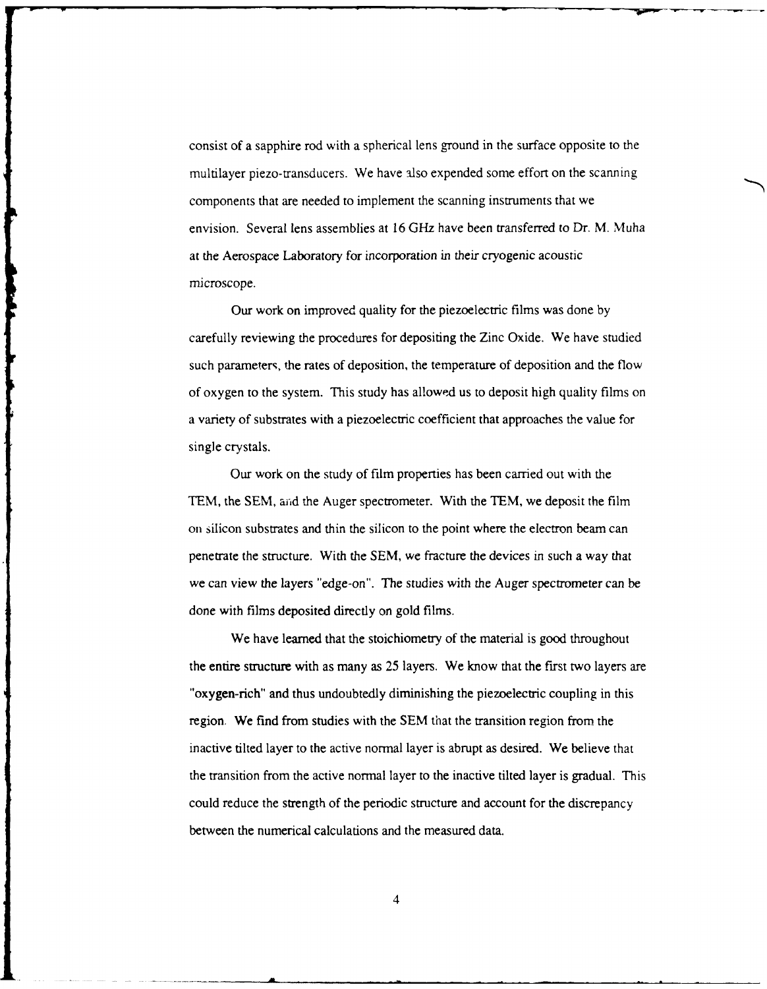consist of a sapphire rod with a spherical lens ground in the surface opposite to the multilayer piezo-transducers. We have also expended some effort on the scanning components that are needed to implement the scanning instruments that we envision. Several lens assemblies at 16 GHz have been transferred to Dr. M. Muha at the Aerospace Laboratory for incorporation in their cryogenic acoustic microscope.

Our work on improved quality for the piezoelectric films was done by carefully reviewing the procedures for depositing the Zinc Oxide. We have studied such parameters, the rates of deposition, the temperature of deposition and the flow of oxygen to the system. This study has allowed us to deposit high quality films on a variety of substrates with a piezoelectric coefficient that approaches the value for single crystals.

Our work on the study of film properties has been carried out with the TEM, the SEM, ajid the Auger spectrometer. With the TEM, we deposit the film on silicon substrates and thin the silicon to the point where the electron beam can penetrate the structure. With the SEM, we fracture the devices in such a way that we can view the layers "edge-on". The studies with the Auger spectrometer can be done with films deposited directly on gold films.

We have learned that the stoichiometry of the material is good throughout the entire structure with as many as 25 layers. We know that the first two layers are "oxygen-rich" and thus undoubtedly diminishing the piezoelectric coupling in this region. We find from studies with the SEM that the transition region from the inactive tilted layer to the active normal layer is abrupt as desired. We believe that the transition from the active normal layer to the inactive tilted layer is gradual. This could reduce the strength of the periodic structure and account for the discrepancy between the numerical calculations and the measured data.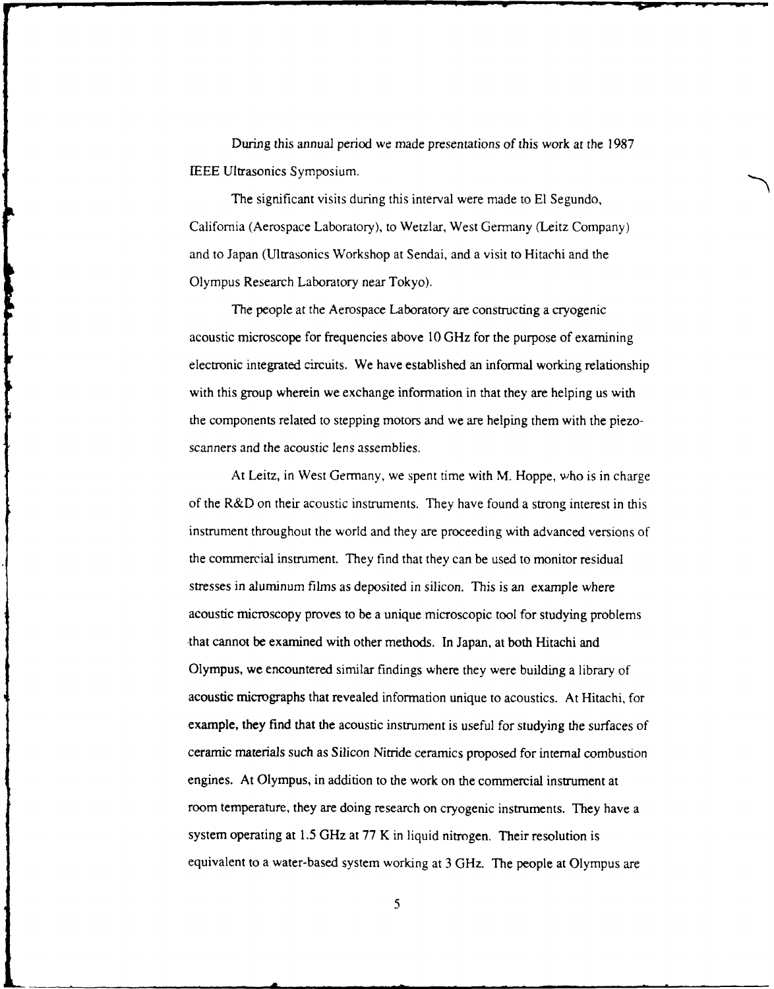During this annual period we made presentations of this work at the **1987** IEEE Ultrasonics Symposium.

The significant visits during this interval were made to **El** Segundo, California (Aerospace Laboratory), to Wetzlar, West Germany (Leitz Company) and to Japan (Ultrasonics Workshop at Sendai, and a visit to Hitachi and the Olympus Research Laboratory near Tokyo).

The people at the Aerospace Laboratory are constructing a cryogenic acoustic microscope for frequencies above **10** GHz for the purpose of examining electronic integrated circuits. We have established an informal working relationship with this group wherein we exchange information in that they are helping us with the components related to stepping motors and we are helping them with the piezoscanners and the acoustic lens assemblies.

At Leitz, in West Germany, we spent time with M. Hoppe, who is in charge of the R&D on their acoustic instruments. They have found a strong interest in this instrument throughout the world and they are proceeding with advanced versions of the commercial instrument. They find that they can be used to monitor residual stresses in aluminum films as deposited in silicon. This is an example where acoustic microscopy proves to be a unique microscopic tool for studying problems -that cannot be examined with other methods. In Japan, at both Hitachi and Olympus, we encountered similar findings where they were building a library of acoustic micrographs that revealed information unique to acoustics. At Hitachi, for example, they find that the acoustic instrument is useful for studying the surfaces of ceramic materials such as Silicon Nitride ceramics proposed for internal combustion engines. At Olympus, in addition to the work on the commercial instrument at room temperature, they are doing research on cryogenic instruments. They have a system operating at 1.5 GHz at 77 K in liquid nitrogen. Their resolution is equivalent to a water-based system working at 3 GHz. The people at Olympus are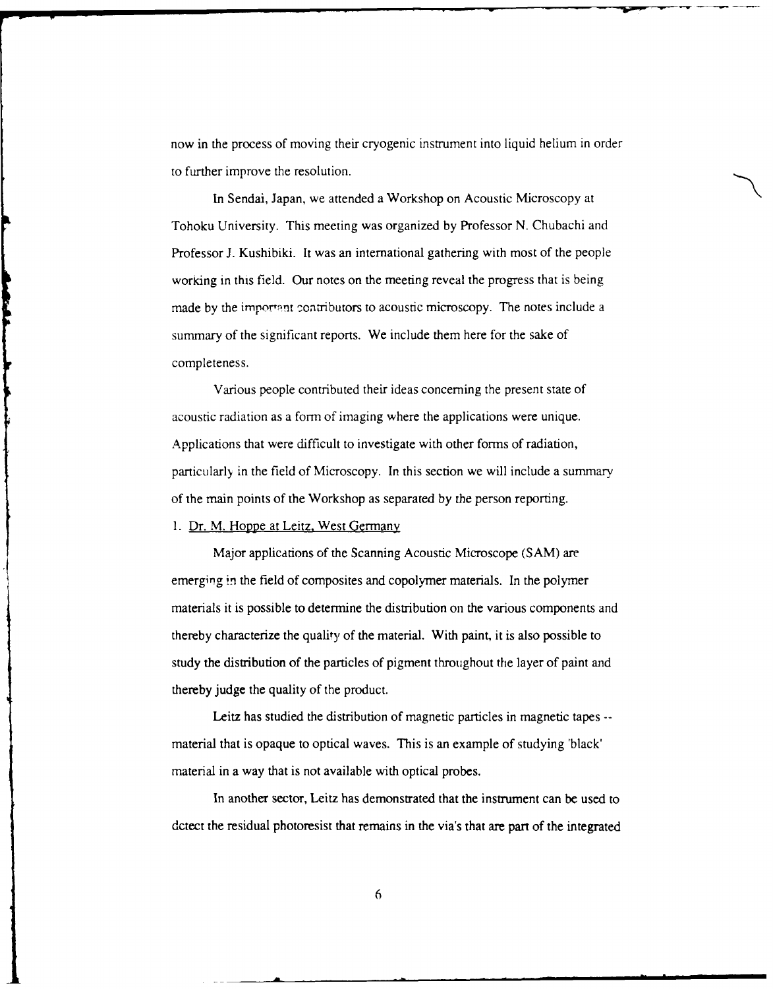now in the process of moving their cryogenic instrument into liquid helium in order to further improve the resolution.

In Sendai, Japan, we attended a Workshop on Acoustic Microscopy at Tohoku University. This meeting was organized by Professor N. Chubachi and Professor J. Kushibiki. It was an international gathering with most of the people working in this field. Our notes on the meeting reveal the progress that is being made by the important contributors to acoustic microscopy. The notes include a summary of the significant reports. We include them here for the sake of completeness.

Various people contributed their ideas concerning the present state of acoustic radiation as a form of imaging where the applications were unique. Applications that were difficult to investigate with other forms of radiation, particularly in the field of Microscopy. In this section we will include a summary of the main points of the Workshop as separated by the person reporting.

1. Dr. M. Hoppe at Leitz. West Germany

**THEFT** 

Major applications of the Scanning Acoustic Microscope (SAM) are emerging in the field of composites and copolymer materials. In the polymer materials it is possible to determine the distribution on the various components and thereby characterize the quality of the material. With paint, it is also possible to study the distribution of the particles of pigment throughout the layer of paint and thereby judge the quality of the product.

Leitz has studied the distribution of magnetic particles in magnetic tapes - material that is opaque to optical waves. This is an example of studying 'black' material in a way that is not available with optical probes.

In another sector, Leitz has demonstrated that the instrument can be used to dctect the residual photoresist that remains in the via's that are part of the integrated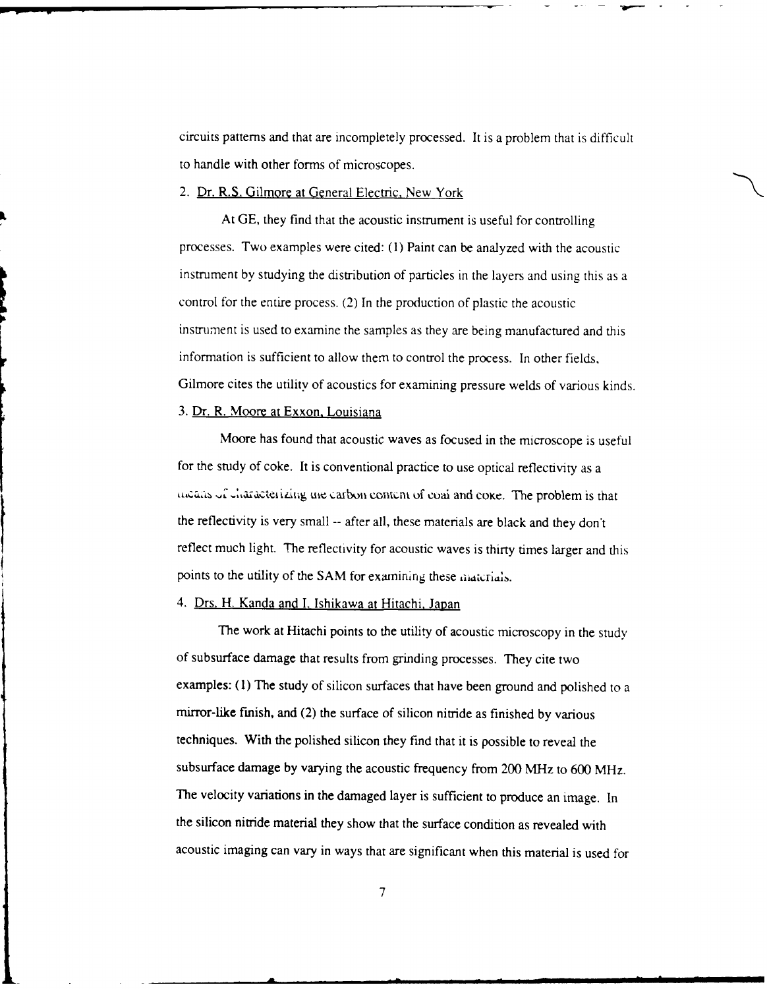circuits patterns and that are incompletely processed. It is a problem that is difficult to handle with other forms of microscopes.

## 2. Dr. R.S. Gilmore at General Electric, New York

At GE, they find that the acoustic instrument is useful for controlling processes. Two examples were cited: (1) Paint can be analyzed with the acoustic instrument by studying the distribution of particles in the layers and using this as a control for the entire process. (2) In the production of plastic the acoustic instrument is used to examine the samples as they are being manufactured and this information is sufficient to allow them to control the process. In other fields, Gilmore cites the utility of acoustics for examining pressure welds of various kinds. 3. Dr. R. Moore at Exxon, Louisiana

Moore has found that acoustic waves as focused in the microscope is useful for the study of coke. It is conventional practice to use optical reflectivity as a incans of characterizing une carbon content of coai and coke. The problem is that the reflectivity is very small -- after all, these materials are black and they don't reflect much light. The reflectivity for acoustic waves is thirty times larger and this points to the utility of the SAM for examining these materials.

## 4. Drs. H. Kanda and I. Ishikawa at Hitachi, Japan

The work at Hitachi points to the utility of acoustic microscopy in the study of subsurface damage that results from grinding processes. They cite two examples: (1) The study of silicon surfaces that have been ground and polished to a mirror-like finish, and (2) the surface of silicon nitride as finished by various techniques. With the polished silicon they find that it is possible to reveal the subsurface damage by varying the acoustic frequency from 200 MHz to 600 MHz. The velocity variations in the damaged layer is sufficient to produce an image. In the silicon nitride material they show that the surface condition as revealed with acoustic imaging can vary in ways that are significant when this material is used for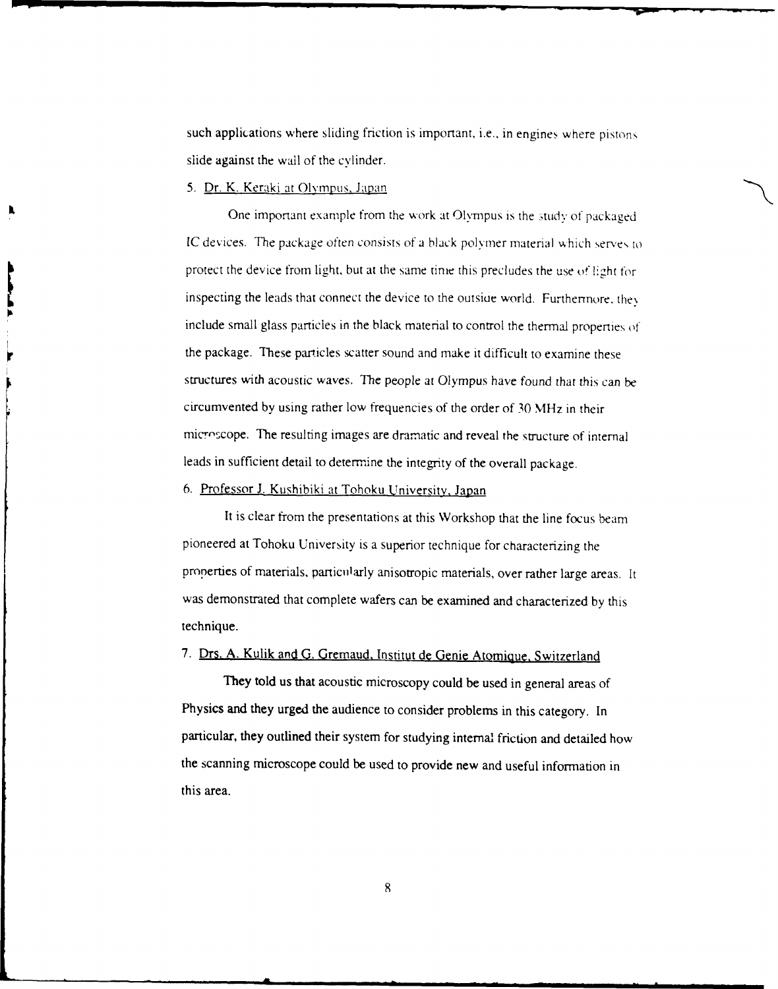such applications where sliding friction is important, i.e., in engines where pistons slide against the wall of the cylinder.

## **5.** Dr. K. Keraki at Olympus, Japan

One important example from the work at Olympus is the study of packaged IC devices. The package often consists of a black polymer material which serves to protect the device from light, but at the same time this precludes the use of light for inspecting the leads that connect the device to the outside world. Furthermore, they include small glass particles in the black material to control the thermal properties of the package. These particles scatter sound and make it difficult to examine these structures with acoustic waves. The people at Olympus have found that this can be circumvented by using rather low frequencies of the order of 30 MHz in their microscope. The resulting images are dramatic and reveal the structure of internal leads in sufficient detail to determine the integrity of the overall package.

# 6. Professor J. Kushibiki at Tohoku University, Japan

It is clear from the presentations at this Workshop that the line focus beam pioneered at Tohoku University is a superior technique for characterizing the properties of materials, particularly anisotropic materials, over rather large areas. It was demonstrated that complete wafers can be examined and characterized by this technique.

# 7. Drs. A. Kulik and G. Gremaud. Institut de Genie Atomique, Switzerland

They told us that acoustic microscopy could be used in general areas of Physics and they urged the audience to consider problems in this category. In particular, they outlined their system for studying internal friction and detailed how the scanning microscope could be used to provide new and useful information in this area.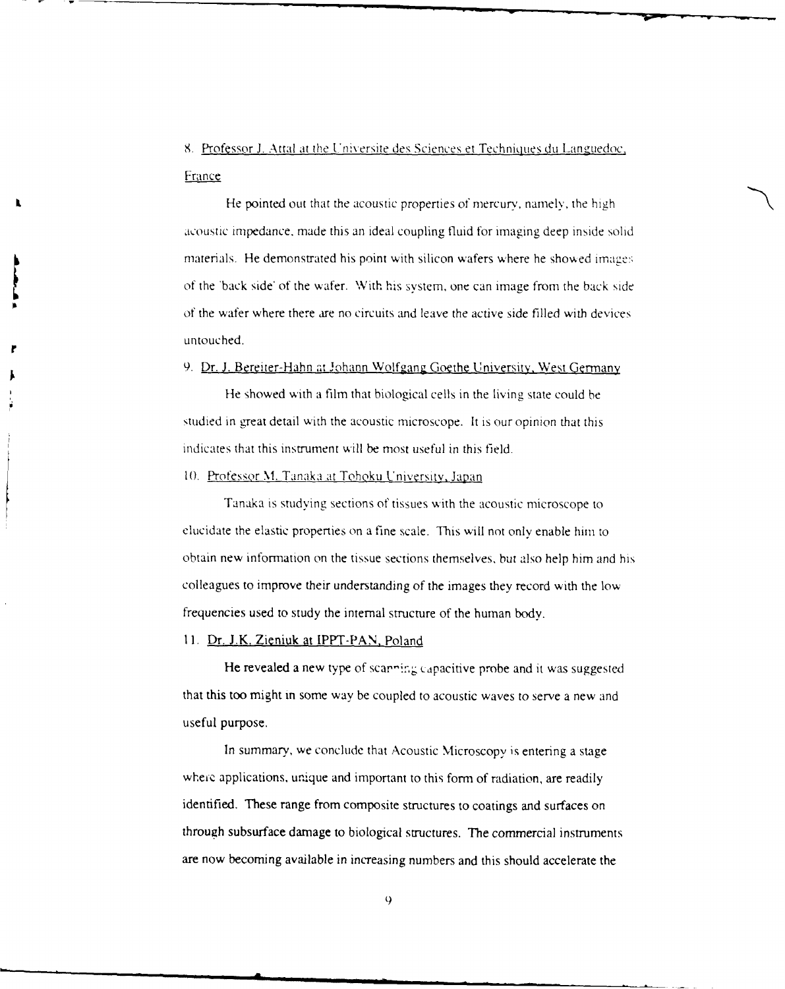8. Professor J. Attal at the Universite des Sciences et Techniques **du** Lang'uedoc, France

He pointed out that the acoustic properties of mercury, namely, the high acoustic impedance, made this an ideal coupling fluid for imaging deep inside solid materials. He demonstrated his point with silicon wafers where he showed images of the 'back side' of the wafer. With his system, one can image from the back side of the wafer where there are no circuits and leave the active side filled with devices untouched.

#### 9. Dr. **J.** Bereiter-Hahn at Johann Wolfgang Goethe University, West Germany

He showed with a film that biological cells in the living state could be studied in great detail with the acoustic microscope. It is our opinion that this indicates that this instrument will be most useful in this field.

## 10. Professor M. Tanaka at Tohoku University, Japan

Tanaka is studying sections of tissues with the acoustic microscope to elucidate the elastic properties on a fine scale. This will not only enable him to obtain new information on the tissue sections themselves, but also help him and his colleagues to improve their understanding of the images they record with the low frequencies used to study the internal structure of the human body.

## 11. Dr. J.K. Zieniuk at IPPT-PAN. Poland

He revealed a new type of scanning capacitive probe and it was suggested that this too might in some way be coupled to acoustic waves to serve a new and useful purpose.

In summary, we conclude that Acoustic Microscopy is entering a stage wheic applications, unique and important to this form of radiation, are readily identified. These range from composite structures to coatings and surfaces on through subsurface damage to biological structures. The commercial instruments are now becoming available in increasing numbers and this should accelerate the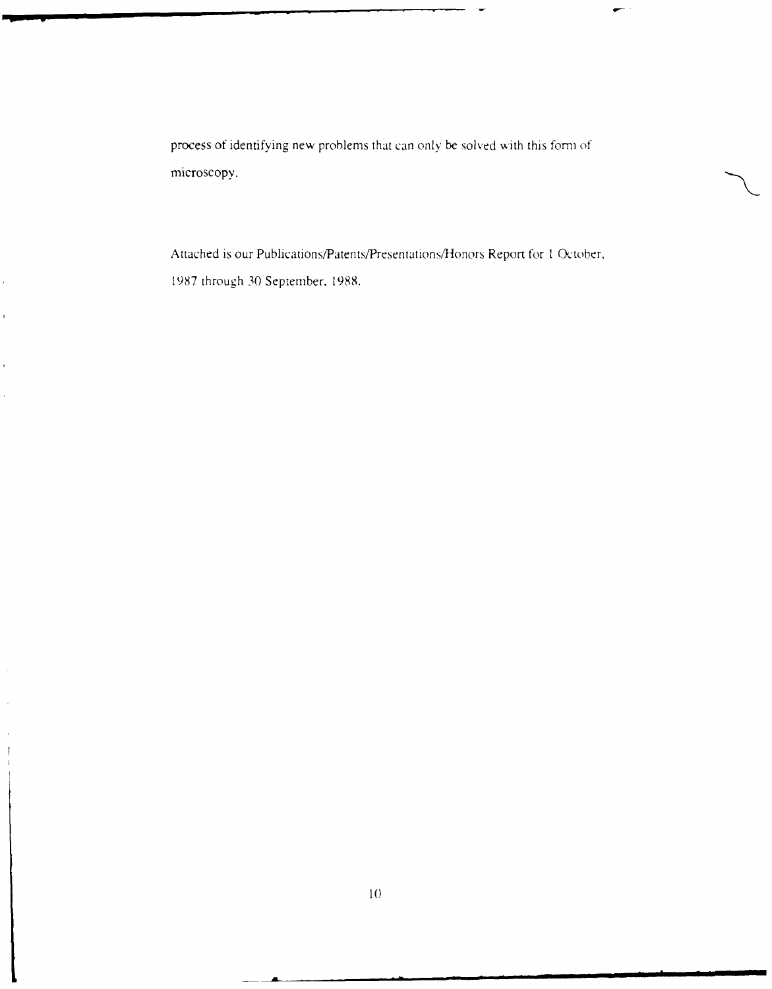process of identifying new problems that can only be solved with this form of microscopy.

Attached is our Publications/Patents/Presentations/Honors Report for 1 October, 1987 through 30 September, 1988.

 $\overline{1}$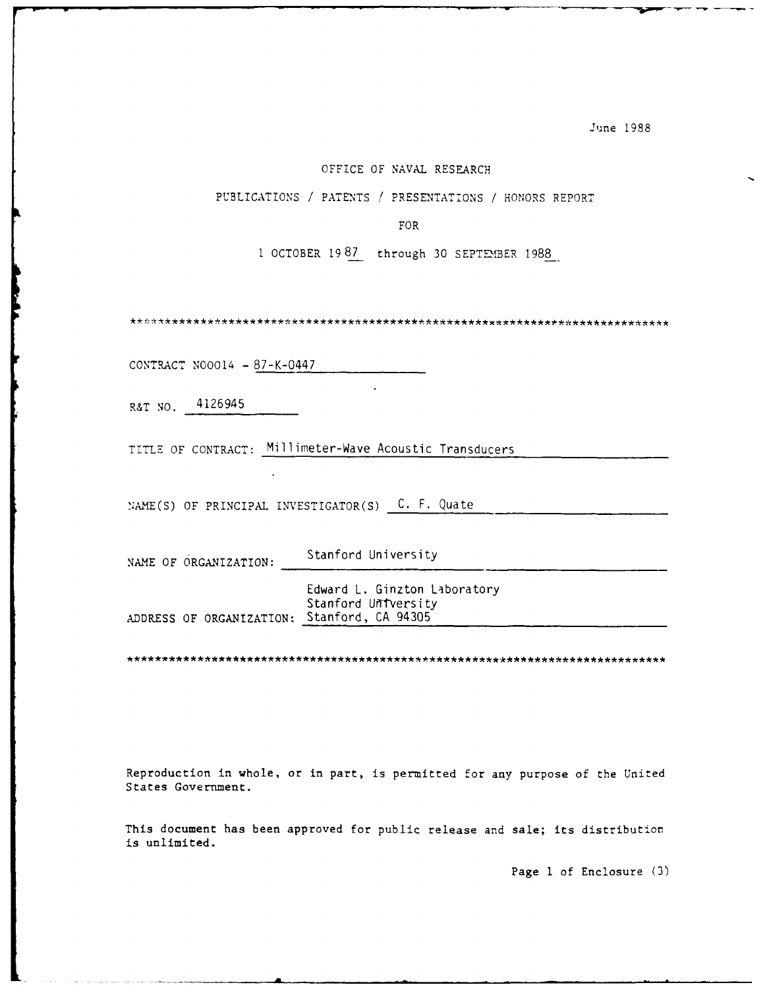#### OFFICE OF NAVAL RESEARCH

PUBLICATIONS / PATENTS / PRESENTATIONS / HONORS REPORT

FOR

**I** OCTOBER 19 87 through 30 SEPTEMBER 1988

CONTRACT N00014 - 87-K-0447

R&T NO. 4126945

TITLE OF CONTRACT: Millimeter-Wave Acoustic Transducers

NAME(S) OF PRINCIPAL INVESTIGATOR(S)  $C$ . F. Quate

NAME OF ORGANIZATION: Stanford University

Edward L. Ginzton Laboratory Stanford University ADDRESS OF ORGANIZATION: Stanford, CA 94305

Reproduction in whole, or in part, is permitted for any purpose of the United States Government.

This document has been approved for public release and sale; its distribution is unlimited.

Page **1** of Enclosure (3)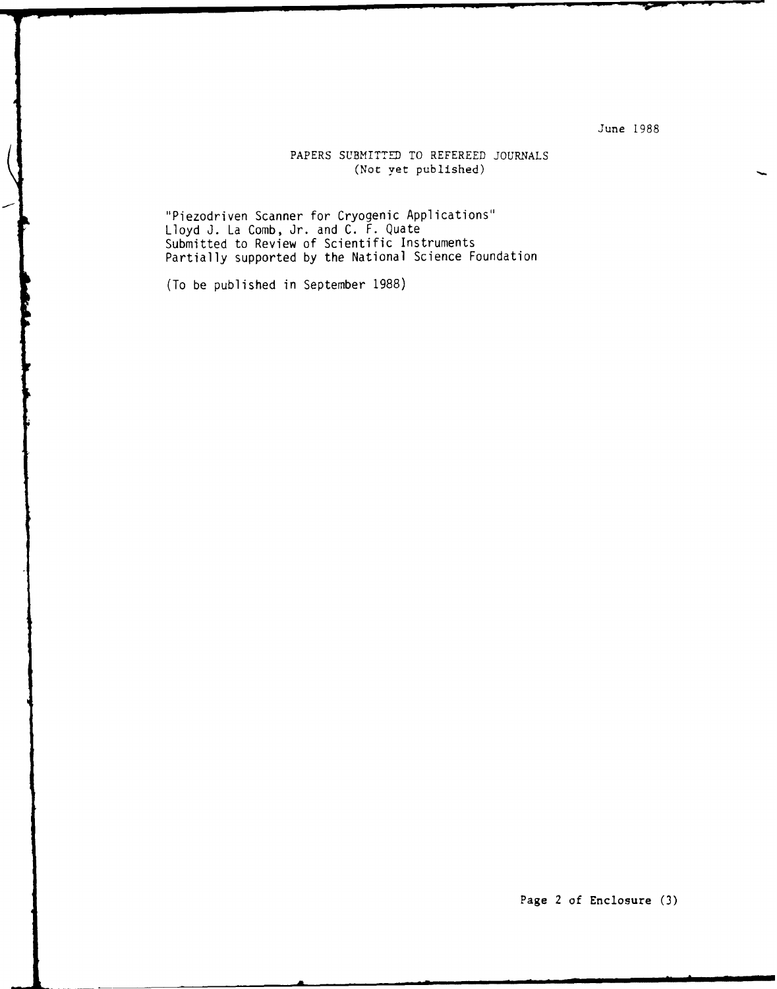# PAPERS SUBMITTED TO REFEREED **JOURNALS** (Not yet published)

"Piezodriven Scanner for Cryogenic Applications" Lloyd **J.** La Comb, Jr. and **C.** F. Quate Submitted to Review of Scientific Instruments Partially supported **by** the National Science Foundation

(To be published in September **1988)**

Page 2 of Enclosure **(3)**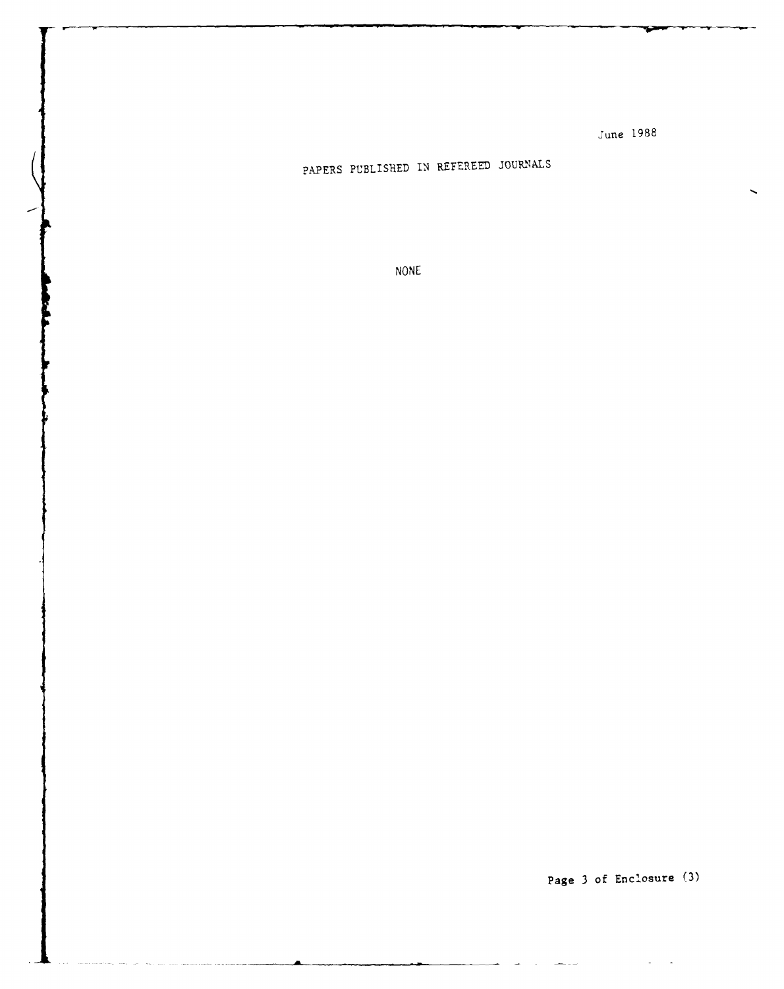# PAPERS PUBLISHED **1,** REyEREED JOURNALS

**NONE**

**Page 3 of Enclosure (3)**

 $\overline{\phantom{a}}$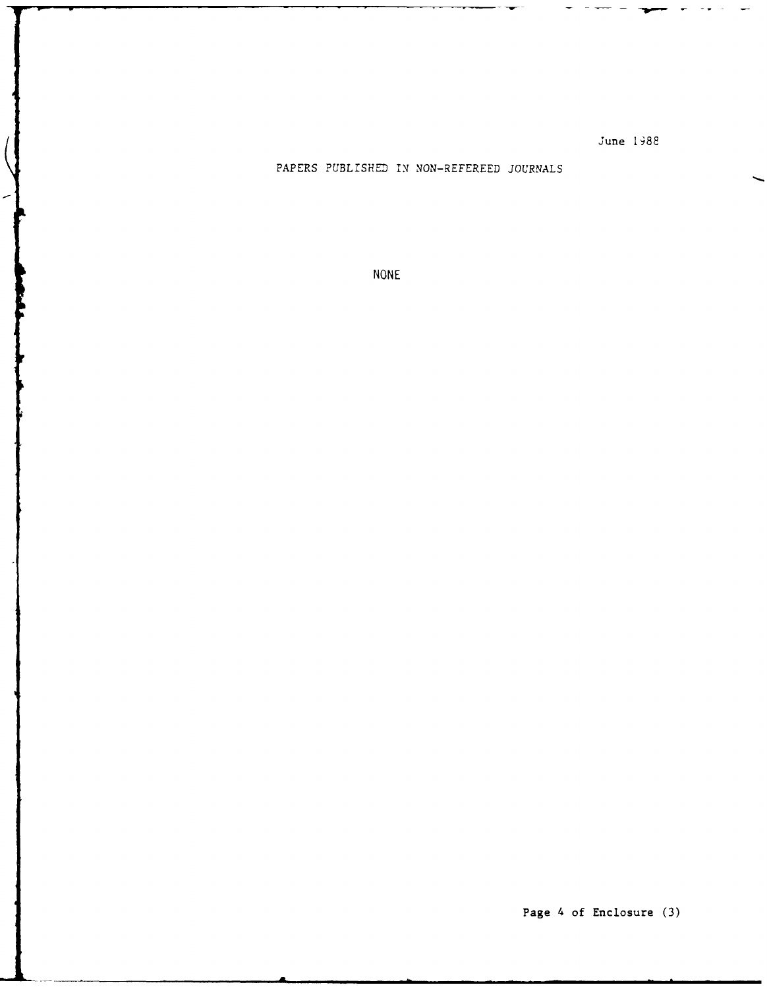PAPERS **PUBLISHED IN** NON-REFEREED **JOURNALS**

**NONE**

 $\blacksquare$ 

╭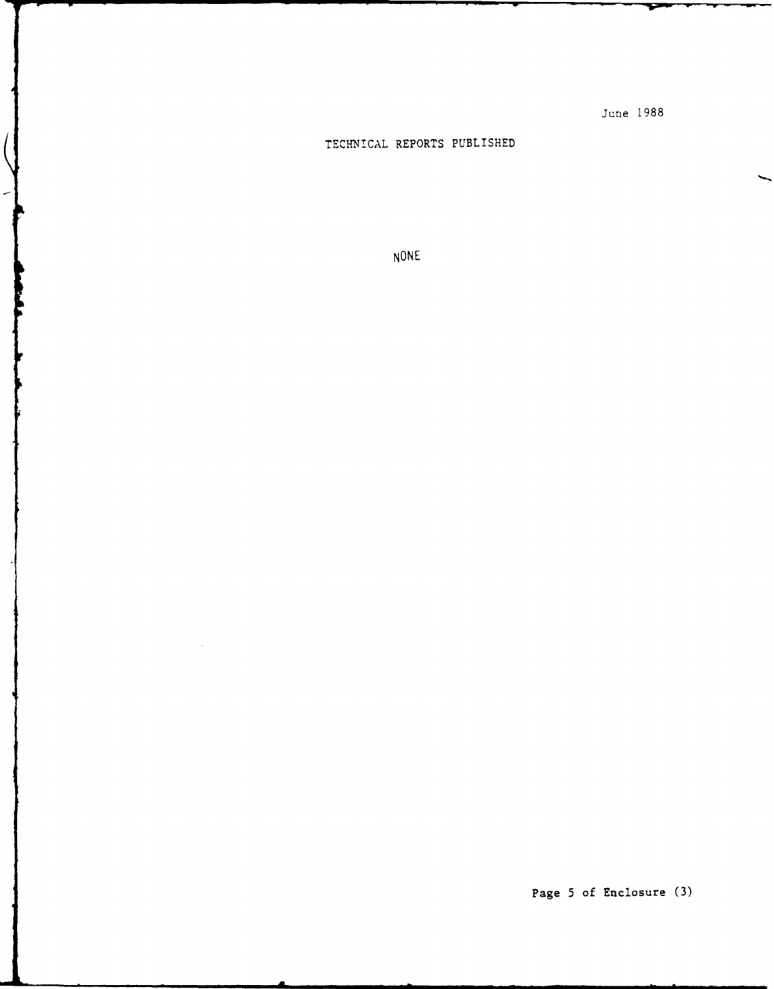# **TECHNTCAL** REPORTS PUBLISHED

 $\left(\right)$ 

 $\left| \right|$ 

**NONE**

 $\bar{\gamma}$ 

Page **5** of Enclosure **(3)**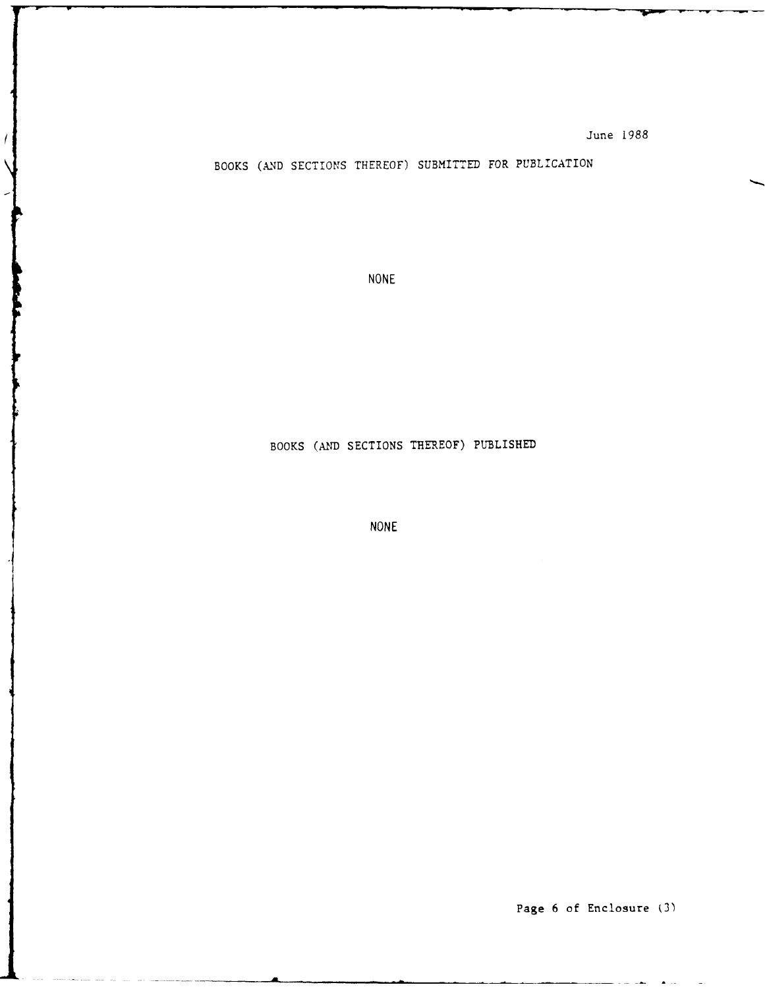BOOKS (AND SECTIONS THEREOF) SUBMITTED FOR PUBLICATION

**NONE**

 $\overline{1}$ 

# BOOKS (AID SECTIONS THEREOF) PUBLISHED

**NONE**

Page **6** of Enclosure **(3')**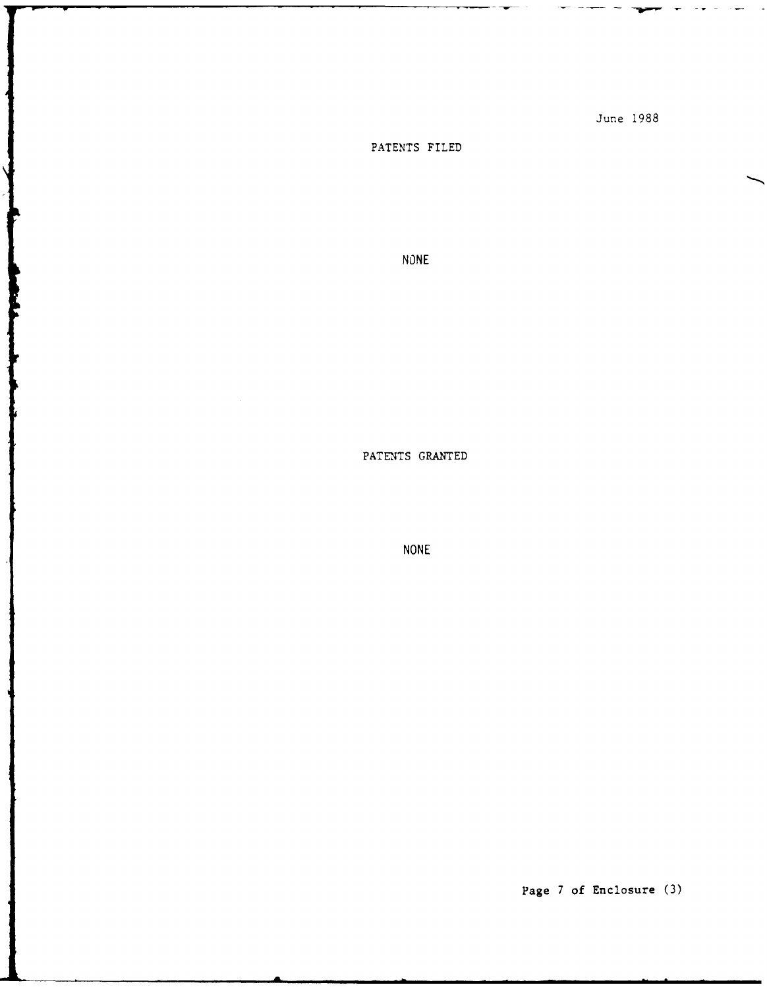# **PATENTS** FILED

 $\frac{1}{2}$ 

**NONE**

**PATENTS GRANTED**

**NONE**

Page **7** of Enclosure **(3)**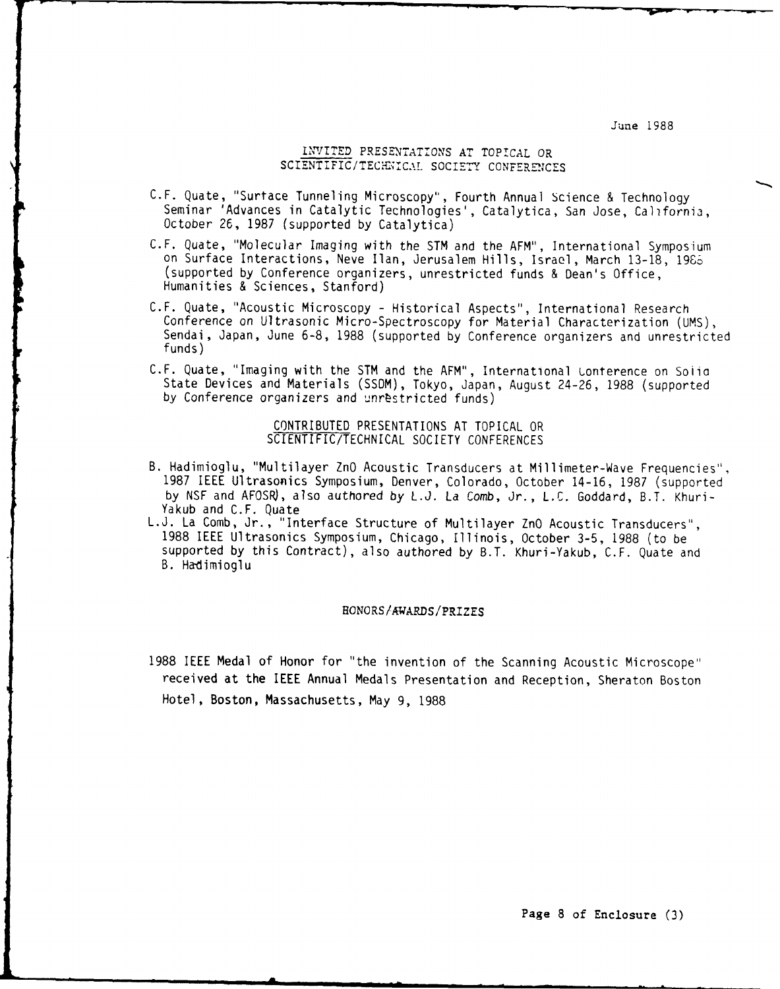## INVITED PRESENTATIONS AT TOPICAL OR SCIENTIFIC/TECHNICAL SOCIETY CONFERENCES

- C.F. Quate, "Surtace Tunneling Microscopy", Fourth Annual Science & Technology Seminar 'Advances in Catalytic Technologies', Catalytica, San Jose, California, October 26, 1987 (supported by Catalytica)
- C.F. Quate, "Molecular Imaging with the STM and the AFM", International Symposium on Surface Interactions, Neve Ilan, Jerusalem Hills, Israel, March 13-18, 19S6 (supported by Conference organizers, unrestricted funds & Dean's Office, Humanities & Sciences, Stanford)
- C.F. Quate, "Acoustic Microscopy Historical Aspects", International Research Conference on Ultrasonic Micro-Spectroscopy for Material Characterization (UMS), Sendai, Japan, June 6-8, 1988 (supported by Conference organizers and unrestricted funds)
- C.F. Quate, "Imaging with the STM and the AFM", International Lonterence on Solid State Devices and Materials (SSDM), Tokyo, Japan, August 24-26, 1988 (supported by Conference organizers and unrestricted funds)

CONTRIBUTED PRESENTATIONS AT TOPICAL OR SCIENTIFIC/TECHNICAL SOCIETY CONFERENCES

- B. Hadimioglu, "Multilayer ZnO Acoustic Transducers at Millimeter-Wave Frequencies", 1987 IEEE Ultrasonics Symposium, Denver, Colorado, October 14-16, 1987 (supported by NSF and AFOSR), also authored by L.J. La Comb, Jr., L.C. Goddard, B.T. Khuri-Yakub and C.F. Quate
- L.J. La Comb, Jr., "Interface Structure of Multilayer ZnO Acoustic Transducers", 1988 IEEE Ultrasonics Symposium, Chicago, Illinois, October 3-5, 1988 (to be supported by this Contract), also authored by B.T. Khuri-Yakub, C.F. Quate and B. Ha-dimioglu

#### HONORS/AWARDS/PRIZES

1988 IEEE Medal of Honor for "the invention of the Scanning Acoustic Microscope" received at the IEEE Annual Medals Presentation and Reception, Sheraton Boston Hotel, Boston, Massachusetts, May 9, 1988

Page **8** of Enclosure **(3)**